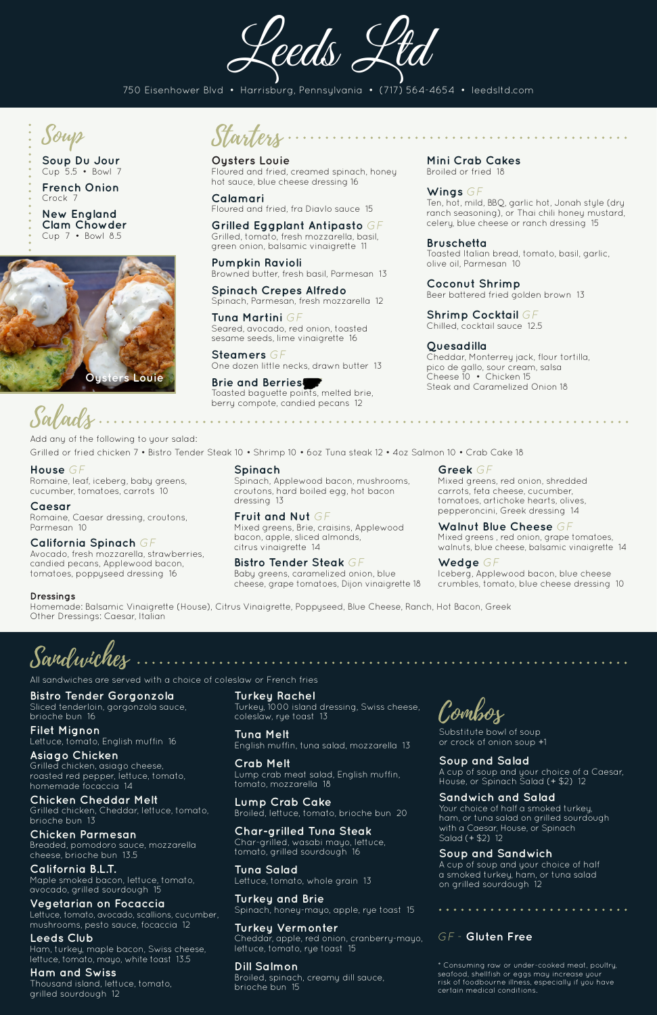Add any of the following to your salad:

Grilled or fried chicken 7 • Bistro Tender Steak 10 • Shrimp 10 • 6oz Tuna steak 12 • 4oz Salmon 10 • Crab Cake 18

Sandwiches

All sandwiches are served with a choice of coleslaw or French fries

**Oysters Louie** Floured and fried, creamed spinach, honey hot sauce, blue cheese dressing 16

**Calamari** Floured and fried, fra Diavlo sauce 15

**Brie and Berries** Toasted baguette points, melted brie, berry compote, candied pecans 12

**Grilled Eggplant Antipasto** *GF* Grilled, tomato, fresh mozzarella, basil, green onion, balsamic vinaigrette 11

**Pumpkin Ravioli** Browned butter, fresh basil, Parmesan 13

**Spinach Crepes Alfredo** Spinach, Parmesan, fresh mozzarella 12

**Tuna Martini** *GF* Seared, avocado, red onion, toasted sesame seeds, lime vinaigrette 16

**Steamers** *GF* One dozen little necks, drawn butter 13 **Mini Crab Cakes** Broiled or fried 18

**Wings** *GF* Ten, hot, mild, BBQ, garlic hot, Jonah style (dry ranch seasoning), or Thai chili honey mustard, celery, blue cheese or ranch dressing 15

#### **Bruschetta**

Toasted Italian bread, tomato, basil, garlic, olive oil, Parmesan 10

**Coconut Shrimp** Beer battered fried golden brown 13

**Shrimp Cocktail** *GF* Chilled, cocktail sauce 12.5

#### **Quesadilla**

Cheddar, Monterrey jack, flour tortilla, pico de gallo, sour cream, salsa Cheese 10 • Chicken 15 Steak and Caramelized Onion 18



**Soup Du Jour**  Cup 5.5 • Bowl 7

**French Onion**  Crock 7

**New England Clam Chowder** Cup 7 • Bowl 8.5

Leeds Ltd

# Starters

\* Consuming raw or under-cooked meat, poultry, seafood, shellfish or eggs may increase your risk of foodbourne illness, especially if you have certain medical conditions.

**House** *GF*

Romaine, leaf, iceberg, baby greens, cucumber, tomatoes, carrots 10

#### **Caesar**

Salad

Romaine, Caesar dressing, croutons, Parmesan 10

#### **California Spinach** *GF*

Avocado, fresh mozzarella, strawberries, candied pecans, Applewood bacon, tomatoes, poppyseed dressing 16

**Spinach**

Spinach, Applewood bacon, mushrooms, croutons, hard boiled egg, hot bacon dressing 13

#### **Fruit and Nut** *GF* Mixed greens, Brie, craisins, Applewood bacon, apple, sliced almonds, citrus vinaigrette 14

**Bistro Tender Steak** *GF* Baby greens, caramelized onion, blue cheese, grape tomatoes, Dijon vinaigrette 18

#### **Greek** *GF*

Mixed greens, red onion, shredded carrots, feta cheese, cucumber, tomatoes, artichoke hearts, olives, pepperoncini, Greek dressing 14

**Walnut Blue Cheese** *GF* Mixed greens , red onion, grape tomatoes, walnuts, blue cheese, balsamic vinaigrette 14

**Wedge** *GF* Iceberg, Applewood bacon, blue cheese crumbles, tomato, blue cheese dressing 10

#### **Dressings**

Homemade: Balsamic Vinaigrette (House), Citrus Vinaigrette, Poppyseed, Blue Cheese, Ranch, Hot Bacon, Greek Other Dressings: Caesar, Italian

**Bistro Tender Gorgonzola** Sliced tenderloin, gorgonzola sauce, brioche bun 16

**Filet Mignon** Lettuce, tomato, English muffin 16

#### **Asiago Chicken**

Grilled chicken, asiago cheese, roasted red pepper, lettuce, tomato, homemade focaccia 14

#### **Chicken Cheddar Melt**

Grilled chicken, Cheddar, lettuce, tomato, brioche bun 13

#### **Chicken Parmesan**

Breaded, pomodoro sauce, mozzarella cheese, brioche bun 13.5

# **California B.L.T.**

Maple smoked bacon, lettuce, tomato, avocado, grilled sourdough 15

## **Vegetarian on Focaccia**

Lettuce, tomato, avocado, scallions, cucumber, mushrooms, pesto sauce, focaccia 12

# **Leeds Club**

Ham, turkey, maple bacon, Swiss cheese, lettuce, tomato, mayo, white toast 13.5

## **Ham and Swiss**

Thousand island, lettuce, tomato, grilled sourdough 12

**Turkey Rachel** Turkey, 1000 island dressing, Swiss cheese, coleslaw, rye toast 13

**Tuna Melt**

English muffin, tuna salad, mozzarella 13

## **Crab Melt**

Lump crab meat salad, English muffin, tomato, mozzarella 18

## **Lump Crab Cake**

Broiled, lettuce, tomato, brioche bun 20

## **Char-grilled Tuna Steak**

Char-grilled, wasabi mayo, lettuce, tomato, grilled sourdough 16

## **Tuna Salad**

Lettuce, tomato, whole grain 13

## **Turkey and Brie**

Spinach, honey-mayo, apple, rye toast 15

## **Turkey Vermonter**

Cheddar, apple, red onion, cranberry-mayo, lettuce, tomato, rye toast 15

## **Dill Salmon**

Broiled, spinach, creamy dill sauce, brioche bun 15

Combos

Substitute bowl of soup or crock of onion soup +1

#### **Soup and Salad**

A cup of soup and your choice of a Caesar, House, or Spinach Salad (+ \$2) 12

#### **Sandwich and Salad**

Your choice of half a smoked turkey, ham, or tuna salad on grilled sourdough with a Caesar, House, or Spinach Salad (+ \$2) 12

#### **Soup and Sandwich**

A cup of soup and your choice of half a smoked turkey, ham, or tuna salad on grilled sourdough 12

750 Eisenhower Blvd • Harrisburg, Pennsylvania • (717) 564-4654 • leedsltd.com



# *GF -* **Gluten Free**

. . . . . . . . . .